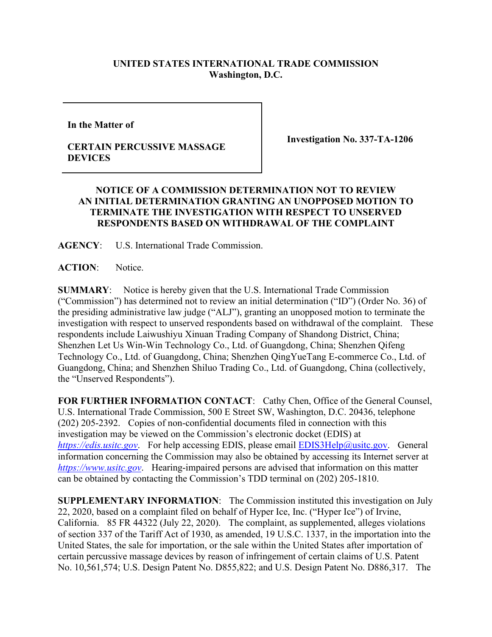## **UNITED STATES INTERNATIONAL TRADE COMMISSION Washington, D.C.**

**In the Matter of** 

## **CERTAIN PERCUSSIVE MASSAGE DEVICES**

**Investigation No. 337-TA-1206**

## **NOTICE OF A COMMISSION DETERMINATION NOT TO REVIEW AN INITIAL DETERMINATION GRANTING AN UNOPPOSED MOTION TO TERMINATE THE INVESTIGATION WITH RESPECT TO UNSERVED RESPONDENTS BASED ON WITHDRAWAL OF THE COMPLAINT**

**AGENCY**: U.S. International Trade Commission.

**ACTION**: Notice.

**SUMMARY**: Notice is hereby given that the U.S. International Trade Commission ("Commission") has determined not to review an initial determination ("ID") (Order No. 36) of the presiding administrative law judge ("ALJ"), granting an unopposed motion to terminate the investigation with respect to unserved respondents based on withdrawal of the complaint. These respondents include Laiwushiyu Xinuan Trading Company of Shandong District, China; Shenzhen Let Us Win-Win Technology Co., Ltd. of Guangdong, China; Shenzhen Qifeng Technology Co., Ltd. of Guangdong, China; Shenzhen QingYueTang E-commerce Co., Ltd. of Guangdong, China; and Shenzhen Shiluo Trading Co., Ltd. of Guangdong, China (collectively, the "Unserved Respondents").

**FOR FURTHER INFORMATION CONTACT**: Cathy Chen, Office of the General Counsel, U.S. International Trade Commission, 500 E Street SW, Washington, D.C. 20436, telephone (202) 205-2392. Copies of non-confidential documents filed in connection with this investigation may be viewed on the Commission's electronic docket (EDIS) at *[https://edis.usitc.gov](https://edis.usitc.gov/).* For help accessing EDIS, please email [EDIS3Help@usitc.gov.](mailto:EDIS3Help@usitc.gov) General information concerning the Commission may also be obtained by accessing its Internet server at *[https://www.usitc.gov](https://www.usitc.gov/)*. Hearing-impaired persons are advised that information on this matter can be obtained by contacting the Commission's TDD terminal on (202) 205-1810.

**SUPPLEMENTARY INFORMATION**: The Commission instituted this investigation on July 22, 2020, based on a complaint filed on behalf of Hyper Ice, Inc. ("Hyper Ice") of Irvine, California. 85 FR 44322 (July 22, 2020). The complaint, as supplemented, alleges violations of section 337 of the Tariff Act of 1930, as amended, 19 U.S.C. 1337, in the importation into the United States, the sale for importation, or the sale within the United States after importation of certain percussive massage devices by reason of infringement of certain claims of U.S. Patent No. 10,561,574; U.S. Design Patent No. D855,822; and U.S. Design Patent No. D886,317. The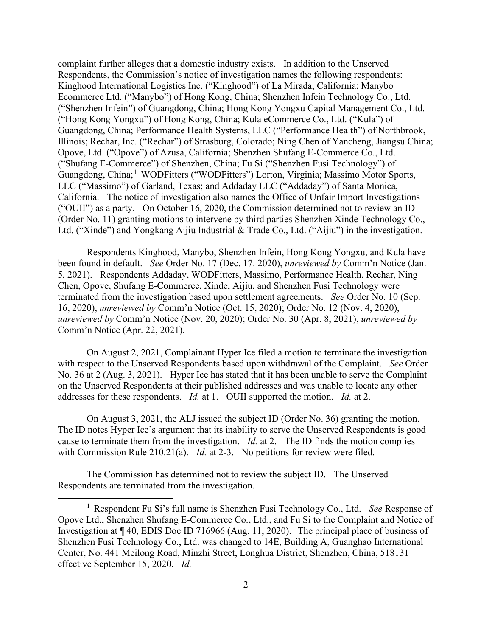complaint further alleges that a domestic industry exists. In addition to the Unserved Respondents, the Commission's notice of investigation names the following respondents: Kinghood International Logistics Inc. ("Kinghood") of La Mirada, California; Manybo Ecommerce Ltd. ("Manybo") of Hong Kong, China; Shenzhen Infein Technology Co., Ltd. ("Shenzhen Infein") of Guangdong, China; Hong Kong Yongxu Capital Management Co., Ltd. ("Hong Kong Yongxu") of Hong Kong, China; Kula eCommerce Co., Ltd. ("Kula") of Guangdong, China; Performance Health Systems, LLC ("Performance Health") of Northbrook, Illinois; Rechar, Inc. ("Rechar") of Strasburg, Colorado; Ning Chen of Yancheng, Jiangsu China; Opove, Ltd. ("Opove") of Azusa, California; Shenzhen Shufang E-Commerce Co., Ltd. ("Shufang E-Commerce") of Shenzhen, China; Fu Si ("Shenzhen Fusi Technology") of Guangdong, China;<sup>[1](#page-1-0)</sup> WODFitters ("WODFitters") Lorton, Virginia; Massimo Motor Sports, LLC ("Massimo") of Garland, Texas; and Addaday LLC ("Addaday") of Santa Monica, California. The notice of investigation also names the Office of Unfair Import Investigations ("OUII") as a party. On October 16, 2020, the Commission determined not to review an ID (Order No. 11) granting motions to intervene by third parties Shenzhen Xinde Technology Co., Ltd. ("Xinde") and Yongkang Aijiu Industrial & Trade Co., Ltd. ("Aijiu") in the investigation.

Respondents Kinghood, Manybo, Shenzhen Infein, Hong Kong Yongxu, and Kula have been found in default. *See* Order No. 17 (Dec. 17. 2020), *unreviewed by* Comm'n Notice (Jan. 5, 2021). Respondents Addaday, WODFitters, Massimo, Performance Health, Rechar, Ning Chen, Opove, Shufang E-Commerce, Xinde, Aijiu, and Shenzhen Fusi Technology were terminated from the investigation based upon settlement agreements. *See* Order No. 10 (Sep. 16, 2020), *unreviewed by* Comm'n Notice (Oct. 15, 2020); Order No. 12 (Nov. 4, 2020), *unreviewed by* Comm'n Notice (Nov. 20, 2020); Order No. 30 (Apr. 8, 2021), *unreviewed by*  Comm'n Notice (Apr. 22, 2021).

On August 2, 2021, Complainant Hyper Ice filed a motion to terminate the investigation with respect to the Unserved Respondents based upon withdrawal of the Complaint. *See* Order No. 36 at 2 (Aug. 3, 2021). Hyper Ice has stated that it has been unable to serve the Complaint on the Unserved Respondents at their published addresses and was unable to locate any other addresses for these respondents. *Id.* at 1. OUII supported the motion. *Id.* at 2.

On August 3, 2021, the ALJ issued the subject ID (Order No. 36) granting the motion. The ID notes Hyper Ice's argument that its inability to serve the Unserved Respondents is good cause to terminate them from the investigation. *Id.* at 2. The ID finds the motion complies with Commission Rule 210.21(a). *Id.* at 2-3. No petitions for review were filed.

The Commission has determined not to review the subject ID. The Unserved Respondents are terminated from the investigation.

<span id="page-1-0"></span><sup>1</sup> Respondent Fu Si's full name is Shenzhen Fusi Technology Co., Ltd. *See* Response of Opove Ltd., Shenzhen Shufang E-Commerce Co., Ltd., and Fu Si to the Complaint and Notice of Investigation at ¶ 40, EDIS Doc ID 716966 (Aug. 11, 2020). The principal place of business of Shenzhen Fusi Technology Co., Ltd. was changed to 14E, Building A, Guanghao International Center, No. 441 Meilong Road, Minzhi Street, Longhua District, Shenzhen, China, 518131 effective September 15, 2020. *Id.*